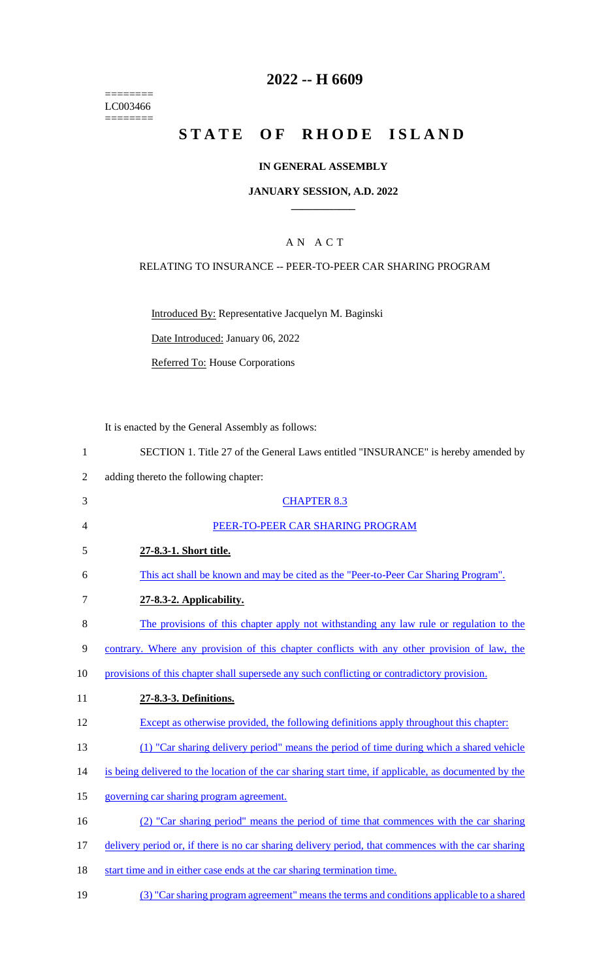======== LC003466  $=$ 

# **2022 -- H 6609**

# **STATE OF RHODE ISLAND**

#### **IN GENERAL ASSEMBLY**

#### **JANUARY SESSION, A.D. 2022 \_\_\_\_\_\_\_\_\_\_\_\_**

#### A N A C T

#### RELATING TO INSURANCE -- PEER-TO-PEER CAR SHARING PROGRAM

Introduced By: Representative Jacquelyn M. Baginski

Date Introduced: January 06, 2022

Referred To: House Corporations

It is enacted by the General Assembly as follows:

| $\mathbf{1}$ | SECTION 1. Title 27 of the General Laws entitled "INSURANCE" is hereby amended by                     |
|--------------|-------------------------------------------------------------------------------------------------------|
| 2            | adding thereto the following chapter:                                                                 |
| 3            | <b>CHAPTER 8.3</b>                                                                                    |
| 4            | PEER-TO-PEER CAR SHARING PROGRAM                                                                      |
| 5            | 27-8.3-1. Short title.                                                                                |
| 6            | This act shall be known and may be cited as the "Peer-to-Peer Car Sharing Program".                   |
| 7            | 27-8.3-2. Applicability.                                                                              |
| 8            | The provisions of this chapter apply not withstanding any law rule or regulation to the               |
| 9            | contrary. Where any provision of this chapter conflicts with any other provision of law, the          |
| 10           | provisions of this chapter shall supersede any such conflicting or contradictory provision.           |
| 11           | 27-8.3-3. Definitions.                                                                                |
| 12           | Except as otherwise provided, the following definitions apply throughout this chapter:                |
| 13           | (1) "Car sharing delivery period" means the period of time during which a shared vehicle              |
| 14           | is being delivered to the location of the car sharing start time, if applicable, as documented by the |
| 15           | governing car sharing program agreement.                                                              |
| 16           | (2) "Car sharing period" means the period of time that commences with the car sharing                 |
| 17           | delivery period or, if there is no car sharing delivery period, that commences with the car sharing   |
| 18           | start time and in either case ends at the car sharing termination time.                               |
|              |                                                                                                       |

19 (3) "Car sharing program agreement" means the terms and conditions applicable to a shared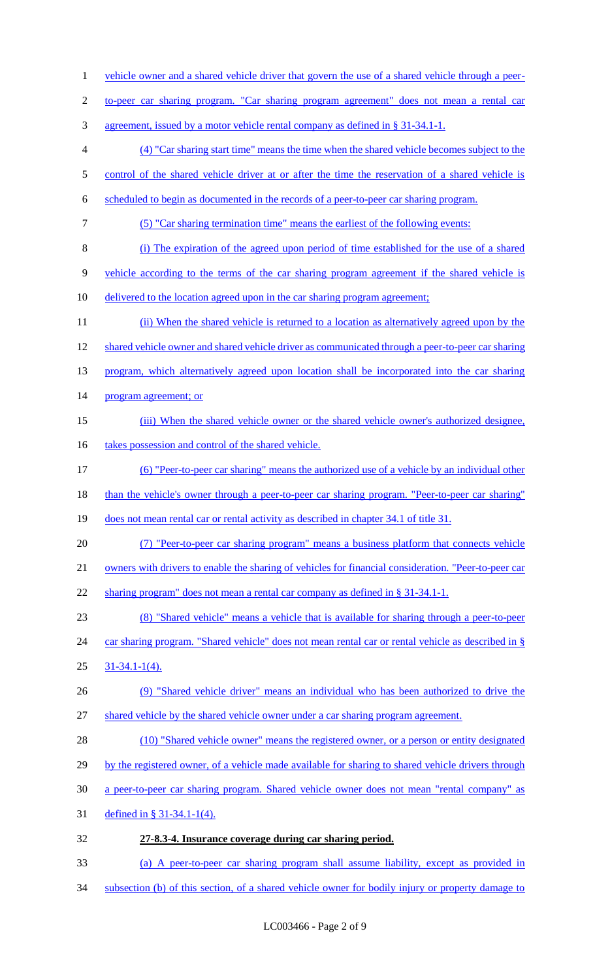1 vehicle owner and a shared vehicle driver that govern the use of a shared vehicle through a peer-2 to-peer car sharing program. "Car sharing program agreement" does not mean a rental car 3 agreement, issued by a motor vehicle rental company as defined in § 31-34.1-1. 4 (4) "Car sharing start time" means the time when the shared vehicle becomes subject to the 5 control of the shared vehicle driver at or after the time the reservation of a shared vehicle is 6 scheduled to begin as documented in the records of a peer-to-peer car sharing program. 7 (5) "Car sharing termination time" means the earliest of the following events: 8 (i) The expiration of the agreed upon period of time established for the use of a shared 9 vehicle according to the terms of the car sharing program agreement if the shared vehicle is 10 delivered to the location agreed upon in the car sharing program agreement; 11 (ii) When the shared vehicle is returned to a location as alternatively agreed upon by the 12 shared vehicle owner and shared vehicle driver as communicated through a peer-to-peer car sharing 13 program, which alternatively agreed upon location shall be incorporated into the car sharing 14 program agreement; or 15 (iii) When the shared vehicle owner or the shared vehicle owner's authorized designee, 16 takes possession and control of the shared vehicle. 17 (6) "Peer-to-peer car sharing" means the authorized use of a vehicle by an individual other 18 than the vehicle's owner through a peer-to-peer car sharing program. "Peer-to-peer car sharing" 19 does not mean rental car or rental activity as described in chapter 34.1 of title 31. 20 (7) "Peer-to-peer car sharing program" means a business platform that connects vehicle 21 owners with drivers to enable the sharing of vehicles for financial consideration. "Peer-to-peer car 22 sharing program" does not mean a rental car company as defined in § 31-34.1-1. 23 (8) "Shared vehicle" means a vehicle that is available for sharing through a peer-to-peer 24 car sharing program. "Shared vehicle" does not mean rental car or rental vehicle as described in § 25 31-34.1-1(4). 26 (9) "Shared vehicle driver" means an individual who has been authorized to drive the 27 shared vehicle by the shared vehicle owner under a car sharing program agreement. 28 (10) "Shared vehicle owner" means the registered owner, or a person or entity designated 29 by the registered owner, of a vehicle made available for sharing to shared vehicle drivers through 30 a peer-to-peer car sharing program. Shared vehicle owner does not mean "rental company" as 31 defined in § 31-34.1-1(4). 32 **27-8.3-4. Insurance coverage during car sharing period.**  33 (a) A peer-to-peer car sharing program shall assume liability, except as provided in 34 subsection (b) of this section, of a shared vehicle owner for bodily injury or property damage to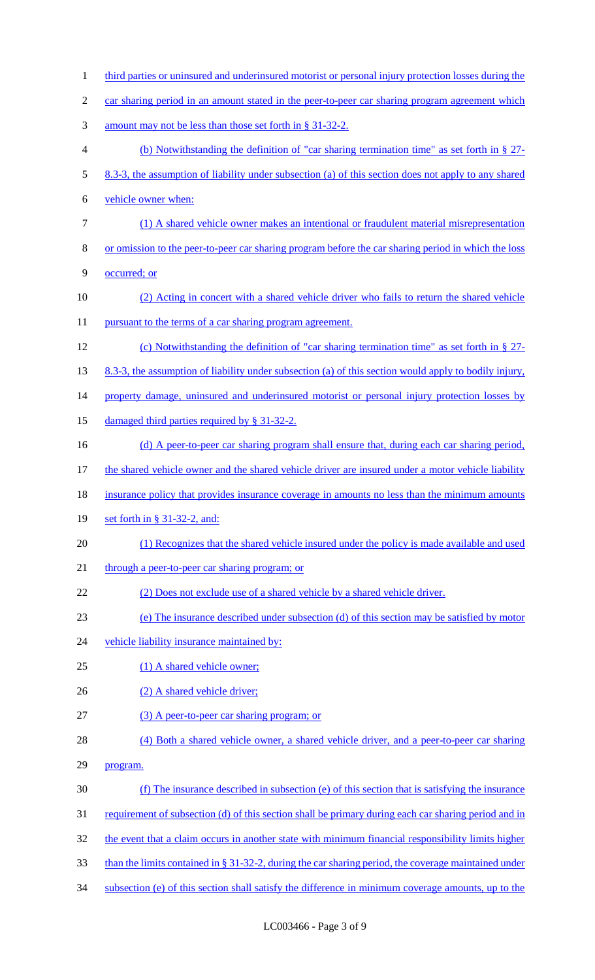1 third parties or uninsured and underinsured motorist or personal injury protection losses during the 2 car sharing period in an amount stated in the peer-to-peer car sharing program agreement which 3 amount may not be less than those set forth in § 31-32-2. 4 (b) Notwithstanding the definition of "car sharing termination time" as set forth in § 27- 5 8.3-3, the assumption of liability under subsection (a) of this section does not apply to any shared 6 vehicle owner when: 7 (1) A shared vehicle owner makes an intentional or fraudulent material misrepresentation 8 or omission to the peer-to-peer car sharing program before the car sharing period in which the loss 9 occurred; or 10 (2) Acting in concert with a shared vehicle driver who fails to return the shared vehicle 11 pursuant to the terms of a car sharing program agreement. 12 (c) Notwithstanding the definition of "car sharing termination time" as set forth in § 27- 13 8.3-3, the assumption of liability under subsection (a) of this section would apply to bodily injury, 14 property damage, uninsured and underinsured motorist or personal injury protection losses by 15 damaged third parties required by § 31-32-2. 16 (d) A peer-to-peer car sharing program shall ensure that, during each car sharing period, 17 the shared vehicle owner and the shared vehicle driver are insured under a motor vehicle liability 18 insurance policy that provides insurance coverage in amounts no less than the minimum amounts 19 set forth in § 31-32-2, and: 20 (1) Recognizes that the shared vehicle insured under the policy is made available and used 21 through a peer-to-peer car sharing program; or 22 (2) Does not exclude use of a shared vehicle by a shared vehicle driver. 23 (e) The insurance described under subsection (d) of this section may be satisfied by motor 24 vehicle liability insurance maintained by: 25 (1) A shared vehicle owner; 26 (2) A shared vehicle driver; 27 (3) A peer-to-peer car sharing program; or 28 (4) Both a shared vehicle owner, a shared vehicle driver, and a peer-to-peer car sharing 29 program. 30 (f) The insurance described in subsection (e) of this section that is satisfying the insurance 31 requirement of subsection (d) of this section shall be primary during each car sharing period and in 32 the event that a claim occurs in another state with minimum financial responsibility limits higher 33 than the limits contained in § 31-32-2, during the car sharing period, the coverage maintained under 34 subsection (e) of this section shall satisfy the difference in minimum coverage amounts, up to the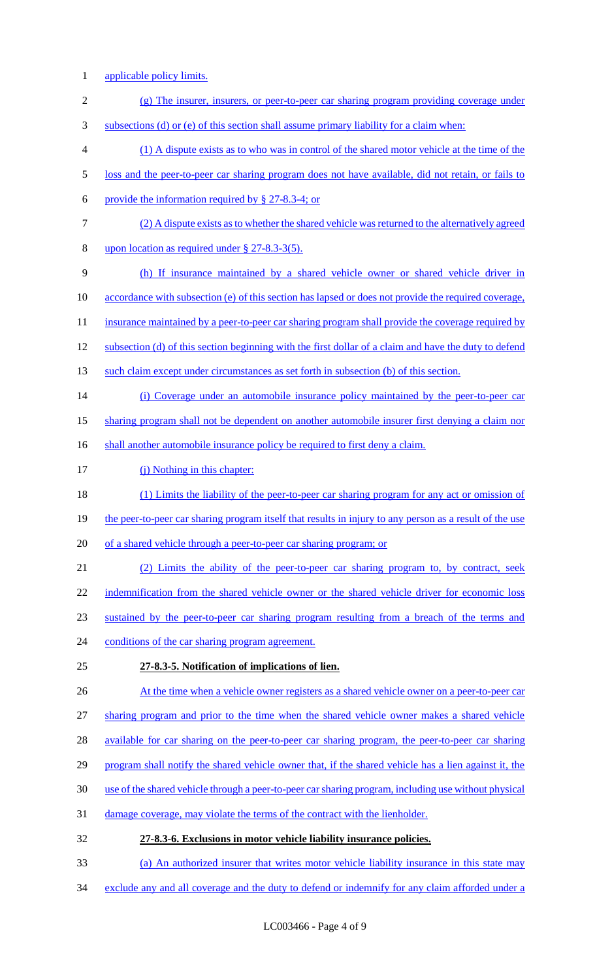- 1 applicable policy limits.
- 2 (g) The insurer, insurers, or peer-to-peer car sharing program providing coverage under
- 3 subsections (d) or (e) of this section shall assume primary liability for a claim when:
- 4 (1) A dispute exists as to who was in control of the shared motor vehicle at the time of the
- 5 loss and the peer-to-peer car sharing program does not have available, did not retain, or fails to
- 6 provide the information required by  $\S$  27-8.3-4; or
- 7 (2) A dispute exists as to whether the shared vehicle was returned to the alternatively agreed
- 8 upon location as required under § 27-8.3-3(5).
- 9 (h) If insurance maintained by a shared vehicle owner or shared vehicle driver in
- 10 accordance with subsection (e) of this section has lapsed or does not provide the required coverage,
- 11 insurance maintained by a peer-to-peer car sharing program shall provide the coverage required by
- 12 subsection (d) of this section beginning with the first dollar of a claim and have the duty to defend
- 13 such claim except under circumstances as set forth in subsection (b) of this section.
- 14 (i) Coverage under an automobile insurance policy maintained by the peer-to-peer car
- 15 sharing program shall not be dependent on another automobile insurer first denying a claim nor
- 16 shall another automobile insurance policy be required to first deny a claim.
- 17 (j) Nothing in this chapter:
- 18 (1) Limits the liability of the peer-to-peer car sharing program for any act or omission of
- 19 the peer-to-peer car sharing program itself that results in injury to any person as a result of the use
- 20 of a shared vehicle through a peer-to-peer car sharing program; or
- 21 (2) Limits the ability of the peer-to-peer car sharing program to, by contract, seek 22 indemnification from the shared vehicle owner or the shared vehicle driver for economic loss 23 sustained by the peer-to-peer car sharing program resulting from a breach of the terms and 24 conditions of the car sharing program agreement.
- 25 **27-8.3-5. Notification of implications of lien.**
- 26 At the time when a vehicle owner registers as a shared vehicle owner on a peer-to-peer car
- 27 sharing program and prior to the time when the shared vehicle owner makes a shared vehicle
- 28 available for car sharing on the peer-to-peer car sharing program, the peer-to-peer car sharing
- 29 program shall notify the shared vehicle owner that, if the shared vehicle has a lien against it, the
- 30 use of the shared vehicle through a peer-to-peer car sharing program, including use without physical
- 31 damage coverage, may violate the terms of the contract with the lienholder.
- 32 **27-8.3-6. Exclusions in motor vehicle liability insurance policies.**
- 33 (a) An authorized insurer that writes motor vehicle liability insurance in this state may
- 34 exclude any and all coverage and the duty to defend or indemnify for any claim afforded under a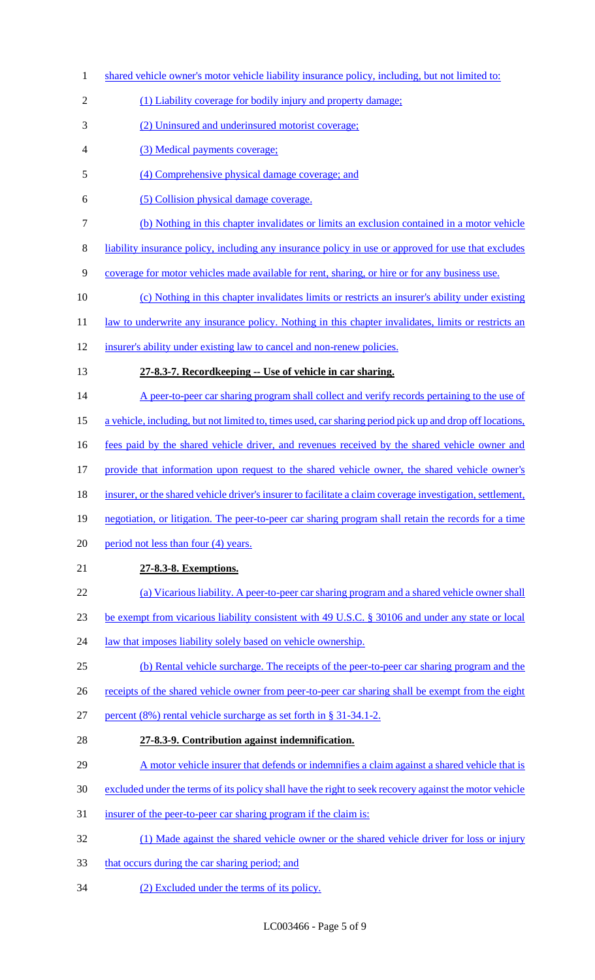1 shared vehicle owner's motor vehicle liability insurance policy, including, but not limited to: 2 (1) Liability coverage for bodily injury and property damage; (2) Uninsured and underinsured motorist coverage; (3) Medical payments coverage; (4) Comprehensive physical damage coverage; and (5) Collision physical damage coverage. (b) Nothing in this chapter invalidates or limits an exclusion contained in a motor vehicle liability insurance policy, including any insurance policy in use or approved for use that excludes coverage for motor vehicles made available for rent, sharing, or hire or for any business use. (c) Nothing in this chapter invalidates limits or restricts an insurer's ability under existing 11 law to underwrite any insurance policy. Nothing in this chapter invalidates, limits or restricts an insurer's ability under existing law to cancel and non-renew policies. **27-8.3-7. Recordkeeping -- Use of vehicle in car sharing.**  14 A peer-to-peer car sharing program shall collect and verify records pertaining to the use of a vehicle, including, but not limited to, times used, car sharing period pick up and drop off locations, 16 fees paid by the shared vehicle driver, and revenues received by the shared vehicle owner and provide that information upon request to the shared vehicle owner, the shared vehicle owner's insurer, or the shared vehicle driver's insurer to facilitate a claim coverage investigation, settlement, negotiation, or litigation. The peer-to-peer car sharing program shall retain the records for a time 20 period not less than four (4) years. **27-8.3-8. Exemptions.**  (a) Vicarious liability. A peer-to-peer car sharing program and a shared vehicle owner shall be exempt from vicarious liability consistent with 49 U.S.C. § 30106 and under any state or local 24 law that imposes liability solely based on vehicle ownership. (b) Rental vehicle surcharge. The receipts of the peer-to-peer car sharing program and the 26 receipts of the shared vehicle owner from peer-to-peer car sharing shall be exempt from the eight percent (8%) rental vehicle surcharge as set forth in § 31-34.1-2. **27-8.3-9. Contribution against indemnification.**  A motor vehicle insurer that defends or indemnifies a claim against a shared vehicle that is excluded under the terms of its policy shall have the right to seek recovery against the motor vehicle 31 insurer of the peer-to-peer car sharing program if the claim is: (1) Made against the shared vehicle owner or the shared vehicle driver for loss or injury 33 that occurs during the car sharing period; and (2) Excluded under the terms of its policy.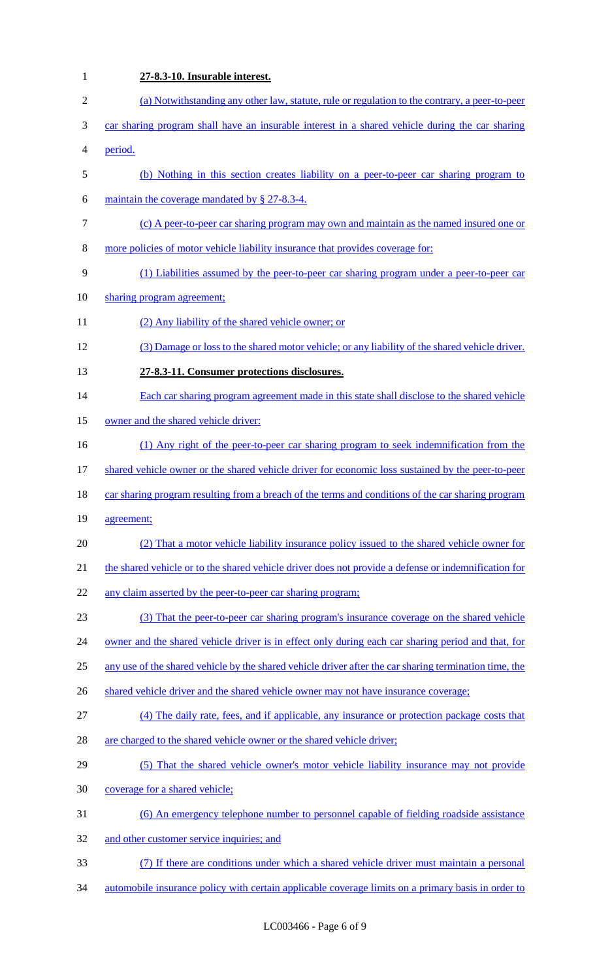**27-8.3-10. Insurable interest.**  (a) Notwithstanding any other law, statute, rule or regulation to the contrary, a peer-to-peer car sharing program shall have an insurable interest in a shared vehicle during the car sharing period. (b) Nothing in this section creates liability on a peer-to-peer car sharing program to maintain the coverage mandated by § 27-8.3-4. (c) A peer-to-peer car sharing program may own and maintain as the named insured one or more policies of motor vehicle liability insurance that provides coverage for: (1) Liabilities assumed by the peer-to-peer car sharing program under a peer-to-peer car 10 sharing program agreement; (2) Any liability of the shared vehicle owner; or (3) Damage or loss to the shared motor vehicle; or any liability of the shared vehicle driver. **27-8.3-11. Consumer protections disclosures.**  14 Each car sharing program agreement made in this state shall disclose to the shared vehicle 15 owner and the shared vehicle driver: (1) Any right of the peer-to-peer car sharing program to seek indemnification from the 17 shared vehicle owner or the shared vehicle driver for economic loss sustained by the peer-to-peer 18 car sharing program resulting from a breach of the terms and conditions of the car sharing program agreement; (2) That a motor vehicle liability insurance policy issued to the shared vehicle owner for 21 the shared vehicle or to the shared vehicle driver does not provide a defense or indemnification for 22 any claim asserted by the peer-to-peer car sharing program; (3) That the peer-to-peer car sharing program's insurance coverage on the shared vehicle 24 owner and the shared vehicle driver is in effect only during each car sharing period and that, for any use of the shared vehicle by the shared vehicle driver after the car sharing termination time, the 26 shared vehicle driver and the shared vehicle owner may not have insurance coverage; (4) The daily rate, fees, and if applicable, any insurance or protection package costs that 28 are charged to the shared vehicle owner or the shared vehicle driver; (5) That the shared vehicle owner's motor vehicle liability insurance may not provide coverage for a shared vehicle; (6) An emergency telephone number to personnel capable of fielding roadside assistance 32 and other customer service inquiries; and (7) If there are conditions under which a shared vehicle driver must maintain a personal automobile insurance policy with certain applicable coverage limits on a primary basis in order to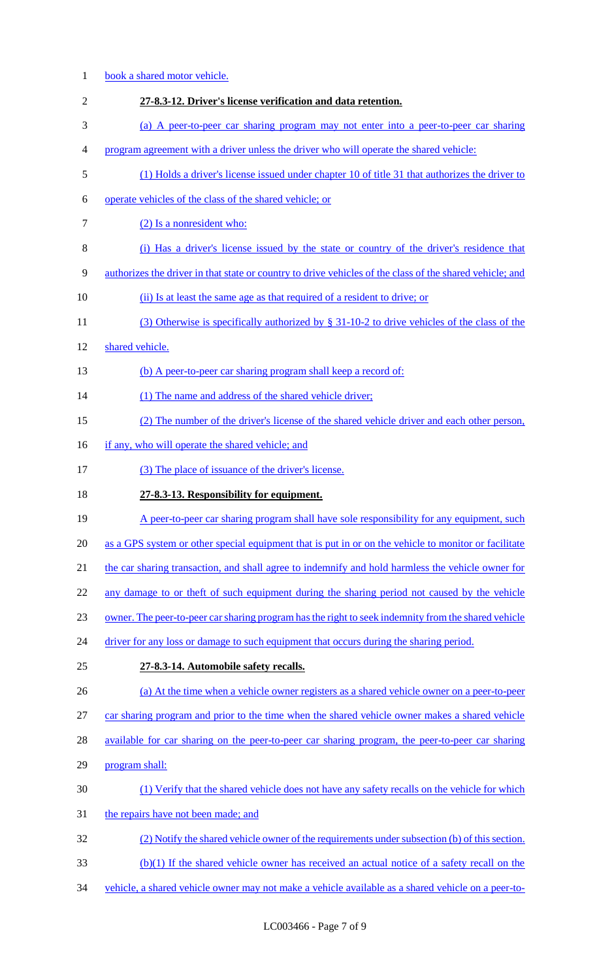| $\mathbf{1}$   | book a shared motor vehicle.                                                                             |
|----------------|----------------------------------------------------------------------------------------------------------|
| $\mathfrak{2}$ | 27-8.3-12. Driver's license verification and data retention.                                             |
| 3              | (a) A peer-to-peer car sharing program may not enter into a peer-to-peer car sharing                     |
| 4              | program agreement with a driver unless the driver who will operate the shared vehicle:                   |
| 5              | (1) Holds a driver's license issued under chapter 10 of title 31 that authorizes the driver to           |
| 6              | operate vehicles of the class of the shared vehicle; or                                                  |
| $\tau$         | (2) Is a nonresident who:                                                                                |
| 8              | (i) Has a driver's license issued by the state or country of the driver's residence that                 |
| 9              | authorizes the driver in that state or country to drive vehicles of the class of the shared vehicle; and |
| 10             | (ii) Is at least the same age as that required of a resident to drive; or                                |
| 11             | (3) Otherwise is specifically authorized by $\S$ 31-10-2 to drive vehicles of the class of the           |
| 12             | shared vehicle.                                                                                          |
| 13             | (b) A peer-to-peer car sharing program shall keep a record of:                                           |
| 14             | (1) The name and address of the shared vehicle driver;                                                   |
| 15             | (2) The number of the driver's license of the shared vehicle driver and each other person,               |
| 16             | if any, who will operate the shared vehicle; and                                                         |
| 17             | (3) The place of issuance of the driver's license.                                                       |
| 18             | 27-8.3-13. Responsibility for equipment.                                                                 |
| 19             | A peer-to-peer car sharing program shall have sole responsibility for any equipment, such                |
| 20             | as a GPS system or other special equipment that is put in or on the vehicle to monitor or facilitate     |
| 21             | the car sharing transaction, and shall agree to indemnify and hold harmless the vehicle owner for        |
| 22             | any damage to or theft of such equipment during the sharing period not caused by the vehicle             |
| 23             | owner. The peer-to-peer car sharing program has the right to seek indemnity from the shared vehicle      |
| 24             | driver for any loss or damage to such equipment that occurs during the sharing period.                   |
| 25             | 27-8.3-14. Automobile safety recalls.                                                                    |
| 26             | (a) At the time when a vehicle owner registers as a shared vehicle owner on a peer-to-peer               |
| 27             | car sharing program and prior to the time when the shared vehicle owner makes a shared vehicle           |
| 28             | available for car sharing on the peer-to-peer car sharing program, the peer-to-peer car sharing          |
| 29             | program shall:                                                                                           |
| 30             | (1) Verify that the shared vehicle does not have any safety recalls on the vehicle for which             |
| 31             | the repairs have not been made; and                                                                      |
| 32             | (2) Notify the shared vehicle owner of the requirements under subsection (b) of this section.            |
| 33             | (b)(1) If the shared vehicle owner has received an actual notice of a safety recall on the               |
| 34             | vehicle, a shared vehicle owner may not make a vehicle available as a shared vehicle on a peer-to-       |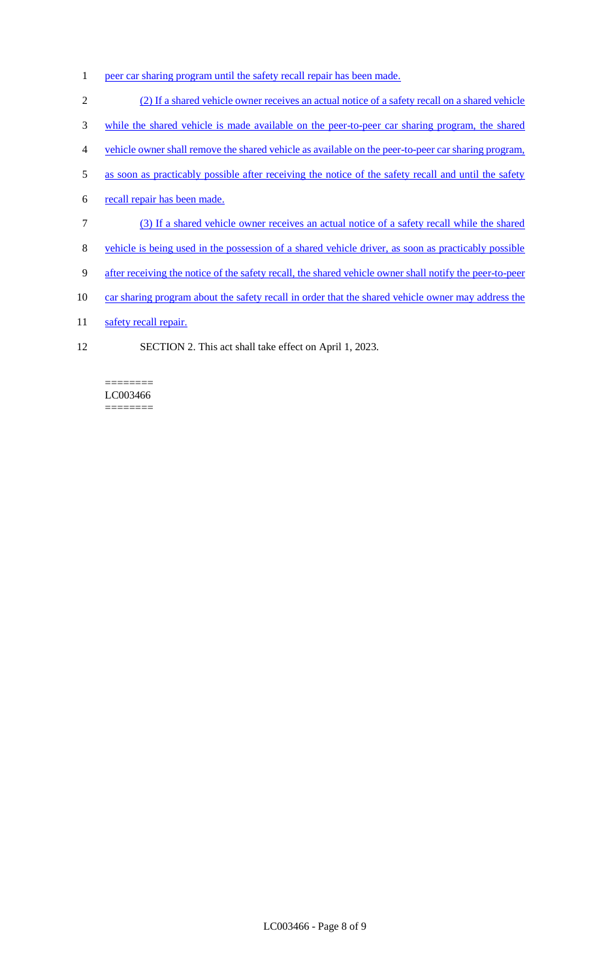- 1 peer car sharing program until the safety recall repair has been made.
- 2 (2) If a shared vehicle owner receives an actual notice of a safety recall on a shared vehicle
- 3 while the shared vehicle is made available on the peer-to-peer car sharing program, the shared
- 4 vehicle owner shall remove the shared vehicle as available on the peer-to-peer car sharing program,
- 5 as soon as practicably possible after receiving the notice of the safety recall and until the safety
- 6 recall repair has been made.
- 7 (3) If a shared vehicle owner receives an actual notice of a safety recall while the shared
- 8 vehicle is being used in the possession of a shared vehicle driver, as soon as practicably possible
- 9 after receiving the notice of the safety recall, the shared vehicle owner shall notify the peer-to-peer
- 10 car sharing program about the safety recall in order that the shared vehicle owner may address the
- 11 safety recall repair.
- 12 SECTION 2. This act shall take effect on April 1, 2023.

======== LC003466 ========